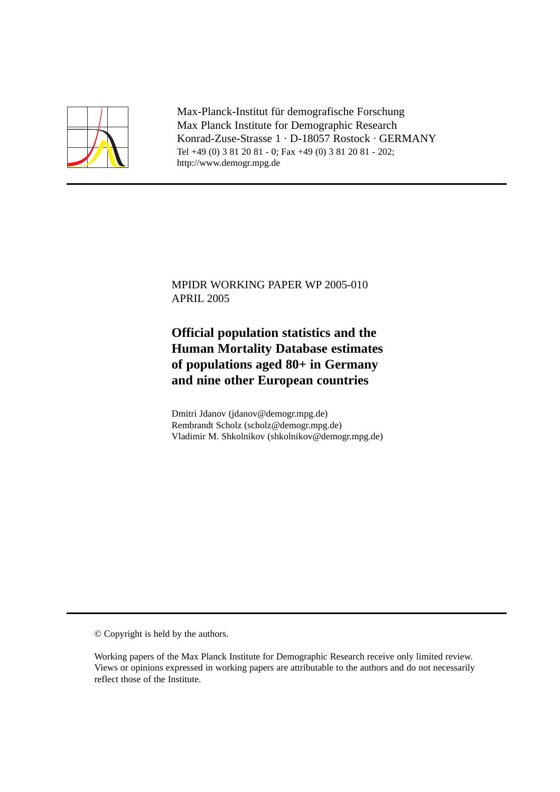

Max-Planck-Institut für demografische Forschung Max Planck Institute for Demographic Research Konrad-Zuse-Strasse 1 · D-18057 Rostock · GERMANY Tel +49 (0) 3 81 20 81 - 0; Fax +49 (0) 3 81 20 81 - 202; http://www.demogr.mpg.de

MPIDR WORKING PAPER WP 2005-010 APRIL 2005

# **Official population statistics and the Human Mortality Database estimates of populations aged 80+ in Germany and nine other European countries**

Dmitri Jdanov (jdanov@demogr.mpg.de) Rembrandt Scholz (scholz@demogr.mpg.de) Vladimir M. Shkolnikov (shkolnikov@demogr.mpg.de)

© Copyright is held by the authors.

Working papers of the Max Planck Institute for Demographic Research receive only limited review. Views or opinions expressed in working papers are attributable to the authors and do not necessarily reflect those of the Institute.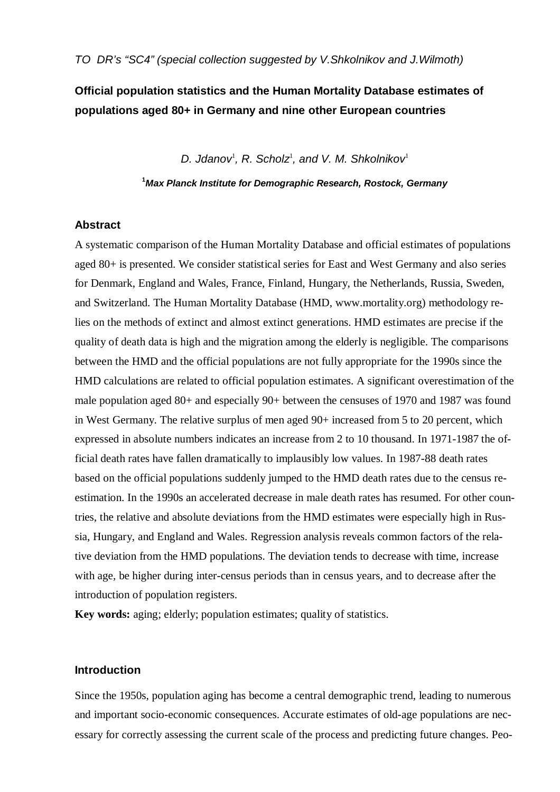# **Official population statistics and the Human Mortality Database estimates of populations aged 80+ in Germany and nine other European countries**

D. Jdanov<sup>1</sup>, R. Scholz<sup>1</sup>, and V. M. Shkolnikov<sup>1</sup>

**1 Max Planck Institute for Demographic Research, Rostock, Germany** 

#### **Abstract**

A systematic comparison of the Human Mortality Database and official estimates of populations aged 80+ is presented. We consider statistical series for East and West Germany and also series for Denmark, England and Wales, France, Finland, Hungary, the Netherlands, Russia, Sweden, and Switzerland. The Human Mortality Database (HMD, www.mortality.org) methodology relies on the methods of extinct and almost extinct generations. HMD estimates are precise if the quality of death data is high and the migration among the elderly is negligible. The comparisons between the HMD and the official populations are not fully appropriate for the 1990s since the HMD calculations are related to official population estimates. A significant overestimation of the male population aged 80+ and especially 90+ between the censuses of 1970 and 1987 was found in West Germany. The relative surplus of men aged 90+ increased from 5 to 20 percent, which expressed in absolute numbers indicates an increase from 2 to 10 thousand. In 1971-1987 the official death rates have fallen dramatically to implausibly low values. In 1987-88 death rates based on the official populations suddenly jumped to the HMD death rates due to the census reestimation. In the 1990s an accelerated decrease in male death rates has resumed. For other countries, the relative and absolute deviations from the HMD estimates were especially high in Russia, Hungary, and England and Wales. Regression analysis reveals common factors of the relative deviation from the HMD populations. The deviation tends to decrease with time, increase with age, be higher during inter-census periods than in census years, and to decrease after the introduction of population registers.

**Key words:** aging; elderly; population estimates; quality of statistics.

# **Introduction**

Since the 1950s, population aging has become a central demographic trend, leading to numerous and important socio-economic consequences. Accurate estimates of old-age populations are necessary for correctly assessing the current scale of the process and predicting future changes. Peo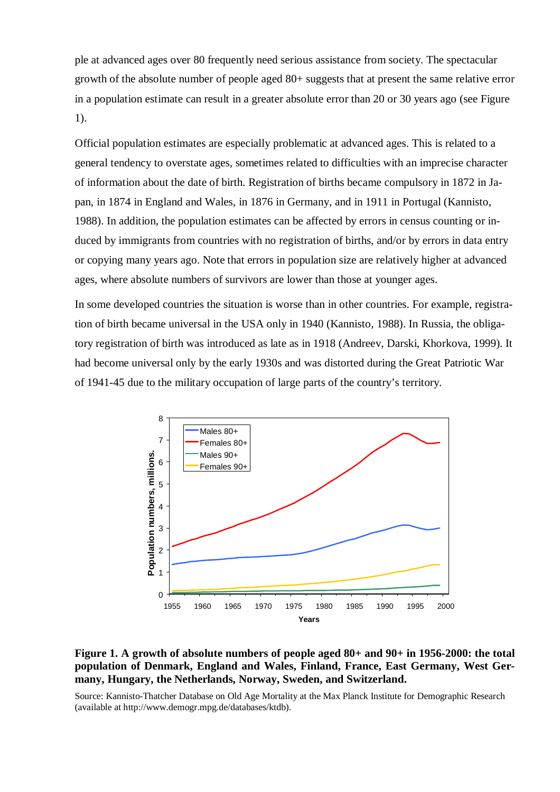ple at advanced ages over 80 frequently need serious assistance from society. The spectacular growth of the absolute number of people aged 80+ suggests that at present the same relative error in a population estimate can result in a greater absolute error than 20 or 30 years ago (see Figure 1).

Official population estimates are especially problematic at advanced ages. This is related to a general tendency to overstate ages, sometimes related to difficulties with an imprecise character of information about the date of birth. Registration of births became compulsory in 1872 in Japan, in 1874 in England and Wales, in 1876 in Germany, and in 1911 in Portugal (Kannisto, 1988). In addition, the population estimates can be affected by errors in census counting or induced by immigrants from countries with no registration of births, and/or by errors in data entry or copying many years ago. Note that errors in population size are relatively higher at advanced ages, where absolute numbers of survivors are lower than those at younger ages.

In some developed countries the situation is worse than in other countries. For example, registration of birth became universal in the USA only in 1940 (Kannisto, 1988). In Russia, the obligatory registration of birth was introduced as late as in 1918 (Andreev, Darski, Khorkova, 1999). It had become universal only by the early 1930s and was distorted during the Great Patriotic War of 1941-45 due to the military occupation of large parts of the country's territory.



**Figure 1. A growth of absolute numbers of people aged 80+ and 90+ in 1956-2000: the total population of Denmark, England and Wales, Finland, France, East Germany, West Germany, Hungary, the Netherlands, Norway, Sweden, and Switzerland.** 

Source: Kannisto-Thatcher Database on Old Age Mortality at the Max Planck Institute for Demographic Research (available at http://www.demogr.mpg.de/databases/ktdb).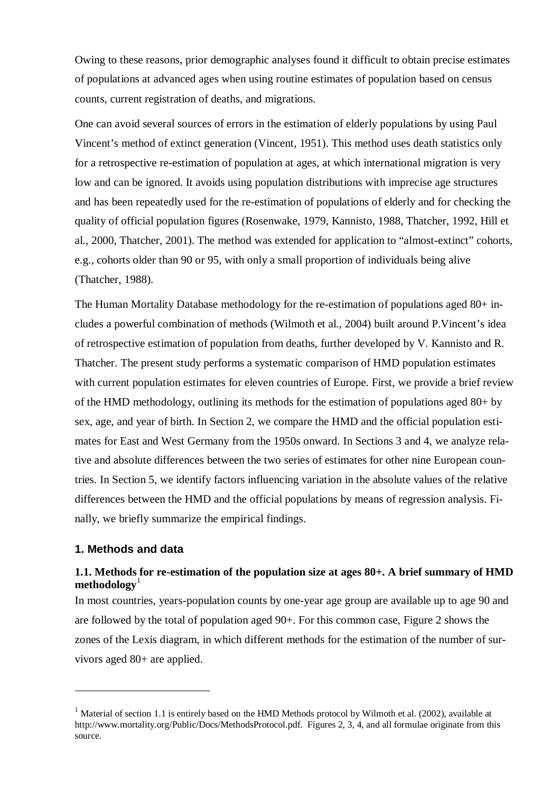Owing to these reasons, prior demographic analyses found it difficult to obtain precise estimates of populations at advanced ages when using routine estimates of population based on census counts, current registration of deaths, and migrations.

One can avoid several sources of errors in the estimation of elderly populations by using Paul Vincent's method of extinct generation (Vincent, 1951). This method uses death statistics only for a retrospective re-estimation of population at ages, at which international migration is very low and can be ignored. It avoids using population distributions with imprecise age structures and has been repeatedly used for the re-estimation of populations of elderly and for checking the quality of official population figures (Rosenwake, 1979, Kannisto, 1988, Thatcher, 1992, Hill et al., 2000, Thatcher, 2001). The method was extended for application to "almost-extinct" cohorts, e.g., cohorts older than 90 or 95, with only a small proportion of individuals being alive (Thatcher, 1988).

The Human Mortality Database methodology for the re-estimation of populations aged 80+ includes a powerful combination of methods (Wilmoth et al., 2004) built around P.Vincent's idea of retrospective estimation of population from deaths, further developed by V. Kannisto and R. Thatcher. The present study performs a systematic comparison of HMD population estimates with current population estimates for eleven countries of Europe. First, we provide a brief review of the HMD methodology, outlining its methods for the estimation of populations aged 80+ by sex, age, and year of birth. In Section 2, we compare the HMD and the official population estimates for East and West Germany from the 1950s onward. In Sections 3 and 4, we analyze relative and absolute differences between the two series of estimates for other nine European countries. In Section 5, we identify factors influencing variation in the absolute values of the relative differences between the HMD and the official populations by means of regression analysis. Finally, we briefly summarize the empirical findings.

## **1. Methods and data**

 $\overline{a}$ 

# **1.1. Methods for re-estimation of the population size at ages 80+. A brief summary of HMD methodology**<sup>1</sup>

In most countries, years-population counts by one-year age group are available up to age 90 and are followed by the total of population aged 90+. For this common case, Figure 2 shows the zones of the Lexis diagram, in which different methods for the estimation of the number of survivors aged 80+ are applied.

<sup>&</sup>lt;sup>1</sup> Material of section 1.1 is entirely based on the HMD Methods protocol by Wilmoth et al. (2002), available at http://www.mortality.org/Public/Docs/MethodsProtocol.pdf. Figures 2, 3, 4, and all formulae originate from this source.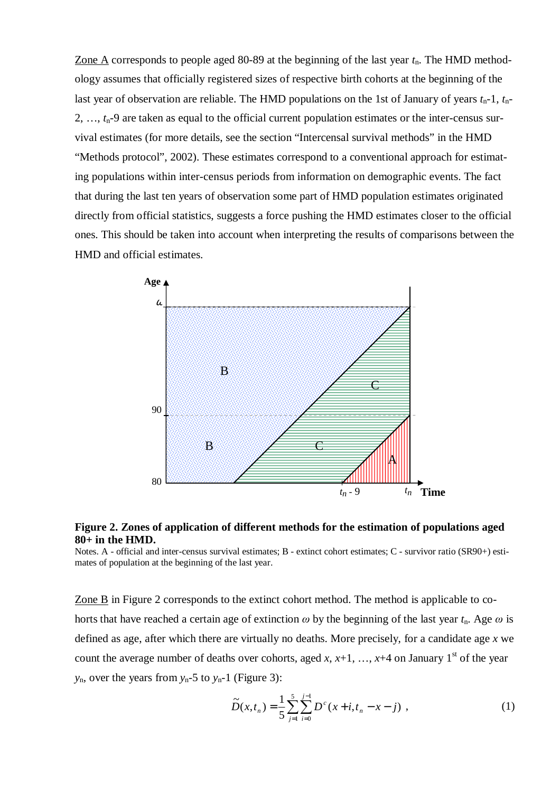Zone A corresponds to people aged 80-89 at the beginning of the last year *t*n. The HMD methodology assumes that officially registered sizes of respective birth cohorts at the beginning of the last year of observation are reliable. The HMD populations on the 1st of January of years *t*n-1, *t*n-2, …, *t*n-9 are taken as equal to the official current population estimates or the inter-census survival estimates (for more details, see the section "Intercensal survival methods" in the HMD "Methods protocol", 2002). These estimates correspond to a conventional approach for estimating populations within inter-census periods from information on demographic events. The fact that during the last ten years of observation some part of HMD population estimates originated directly from official statistics, suggests a force pushing the HMD estimates closer to the official ones. This should be taken into account when interpreting the results of comparisons between the HMD and official estimates.



## **Figure 2. Zones of application of different methods for the estimation of populations aged 80+ in the HMD.**

Notes. A - official and inter-census survival estimates; B - extinct cohort estimates; C - survivor ratio (SR90+) estimates of population at the beginning of the last year.

Zone B in Figure 2 corresponds to the extinct cohort method. The method is applicable to cohorts that have reached a certain age of extinction  $\omega$  by the beginning of the last year  $t_n$ . Age  $\omega$  is defined as age, after which there are virtually no deaths. More precisely, for a candidate age *x* we count the average number of deaths over cohorts, aged *x*,  $x+1$ , …,  $x+4$  on January 1<sup>st</sup> of the year  $y_n$ , over the years from  $y_n$ -5 to  $y_n$ -1 (Figure 3):

$$
\widetilde{D}(x,t_n) = \frac{1}{5} \sum_{j=1}^{5} \sum_{i=0}^{j-1} D^c(x+i, t_n - x - j) , \qquad (1)
$$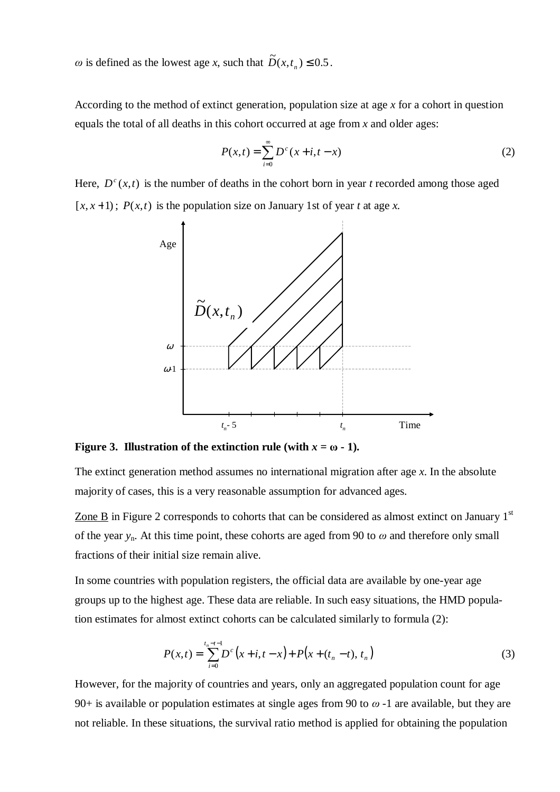$\omega$  is defined as the lowest age *x*, such that  $\widetilde{D}(x, t_n) \le 0.5$ .

According to the method of extinct generation, population size at age *x* for a cohort in question equals the total of all deaths in this cohort occurred at age from *x* and older ages:

$$
P(x,t) = \sum_{i=0}^{\infty} D^{c} (x+i, t-x)
$$
 (2)

Here,  $D^{c}(x,t)$  is the number of deaths in the cohort born in year *t* recorded among those aged  $[x, x+1)$ ;  $P(x,t)$  is the population size on January 1st of year *t* at age *x*.



**Figure 3. Illustration of the extinction rule (with**  $x = \omega - 1$ **).** 

The extinct generation method assumes no international migration after age *x*. In the absolute majority of cases, this is a very reasonable assumption for advanced ages.

Zone B in Figure 2 corresponds to cohorts that can be considered as almost extinct on January  $1<sup>st</sup>$ of the year  $y_n$ . At this time point, these cohorts are aged from 90 to  $\omega$  and therefore only small fractions of their initial size remain alive.

In some countries with population registers, the official data are available by one-year age groups up to the highest age. These data are reliable. In such easy situations, the HMD population estimates for almost extinct cohorts can be calculated similarly to formula (2):

$$
P(x,t) = \sum_{i=0}^{t_n - t - 1} D^c(x+i, t-x) + P(x + (t_n - t), t_n)
$$
 (3)

However, for the majority of countries and years, only an aggregated population count for age 90+ is available or population estimates at single ages from 90 to  $\omega$  -1 are available, but they are not reliable. In these situations, the survival ratio method is applied for obtaining the population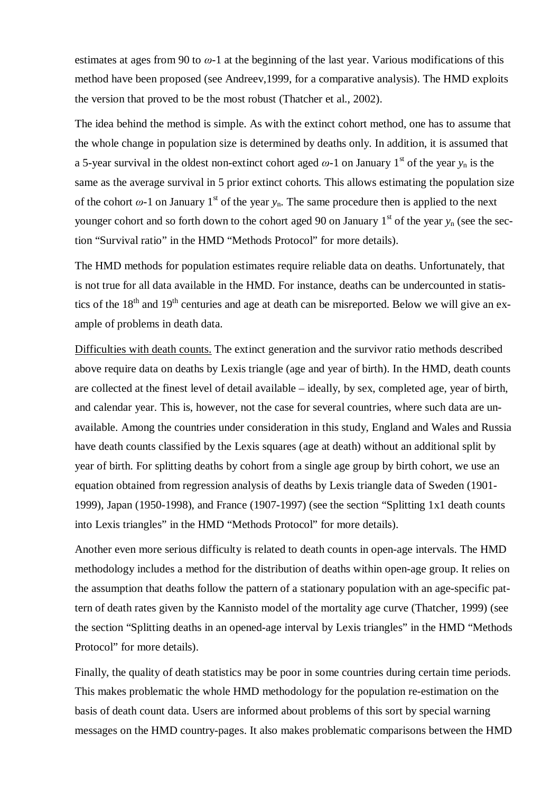estimates at ages from 90 to  $\omega$ -1 at the beginning of the last year. Various modifications of this method have been proposed (see Andreev,1999, for a comparative analysis). The HMD exploits the version that proved to be the most robust (Thatcher et al., 2002).

The idea behind the method is simple. As with the extinct cohort method, one has to assume that the whole change in population size is determined by deaths only. In addition, it is assumed that a 5-year survival in the oldest non-extinct cohort aged  $\omega$ -1 on January 1<sup>st</sup> of the year  $y_n$  is the same as the average survival in 5 prior extinct cohorts. This allows estimating the population size of the cohort  $\omega$ -1 on January 1<sup>st</sup> of the year  $y_n$ . The same procedure then is applied to the next younger cohort and so forth down to the cohort aged 90 on January  $1<sup>st</sup>$  of the year  $y_n$  (see the section "Survival ratio" in the HMD "Methods Protocol" for more details).

The HMD methods for population estimates require reliable data on deaths. Unfortunately, that is not true for all data available in the HMD. For instance, deaths can be undercounted in statistics of the 18<sup>th</sup> and 19<sup>th</sup> centuries and age at death can be misreported. Below we will give an example of problems in death data.

Difficulties with death counts. The extinct generation and the survivor ratio methods described above require data on deaths by Lexis triangle (age and year of birth). In the HMD, death counts are collected at the finest level of detail available – ideally, by sex, completed age, year of birth, and calendar year. This is, however, not the case for several countries, where such data are unavailable. Among the countries under consideration in this study, England and Wales and Russia have death counts classified by the Lexis squares (age at death) without an additional split by year of birth. For splitting deaths by cohort from a single age group by birth cohort, we use an equation obtained from regression analysis of deaths by Lexis triangle data of Sweden (1901- 1999), Japan (1950-1998), and France (1907-1997) (see the section "Splitting 1x1 death counts into Lexis triangles" in the HMD "Methods Protocol" for more details).

Another even more serious difficulty is related to death counts in open-age intervals. The HMD methodology includes a method for the distribution of deaths within open-age group. It relies on the assumption that deaths follow the pattern of a stationary population with an age-specific pattern of death rates given by the Kannisto model of the mortality age curve (Thatcher, 1999) (see the section "Splitting deaths in an opened-age interval by Lexis triangles" in the HMD "Methods Protocol" for more details).

Finally, the quality of death statistics may be poor in some countries during certain time periods. This makes problematic the whole HMD methodology for the population re-estimation on the basis of death count data. Users are informed about problems of this sort by special warning messages on the HMD country-pages. It also makes problematic comparisons between the HMD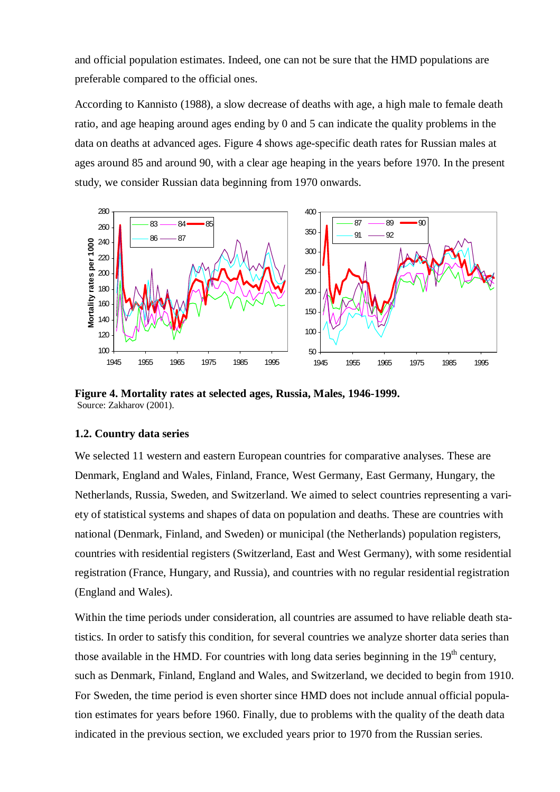and official population estimates. Indeed, one can not be sure that the HMD populations are preferable compared to the official ones.

According to Kannisto (1988), a slow decrease of deaths with age, a high male to female death ratio, and age heaping around ages ending by 0 and 5 can indicate the quality problems in the data on deaths at advanced ages. Figure 4 shows age-specific death rates for Russian males at ages around 85 and around 90, with a clear age heaping in the years before 1970. In the present study, we consider Russian data beginning from 1970 onwards.



**Figure 4. Mortality rates at selected ages, Russia, Males, 1946-1999.**  Source: Zakharov (2001).

#### **1.2. Country data series**

We selected 11 western and eastern European countries for comparative analyses. These are Denmark, England and Wales, Finland, France, West Germany, East Germany, Hungary, the Netherlands, Russia, Sweden, and Switzerland. We aimed to select countries representing a variety of statistical systems and shapes of data on population and deaths. These are countries with national (Denmark, Finland, and Sweden) or municipal (the Netherlands) population registers, countries with residential registers (Switzerland, East and West Germany), with some residential registration (France, Hungary, and Russia), and countries with no regular residential registration (England and Wales).

Within the time periods under consideration, all countries are assumed to have reliable death statistics. In order to satisfy this condition, for several countries we analyze shorter data series than those available in the HMD. For countries with long data series beginning in the  $19<sup>th</sup>$  century, such as Denmark, Finland, England and Wales, and Switzerland, we decided to begin from 1910. For Sweden, the time period is even shorter since HMD does not include annual official population estimates for years before 1960. Finally, due to problems with the quality of the death data indicated in the previous section, we excluded years prior to 1970 from the Russian series.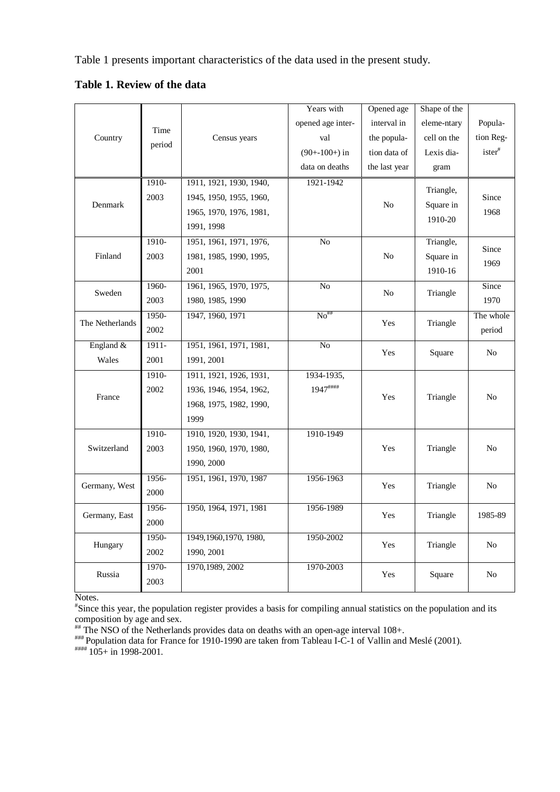Table 1 presents important characteristics of the data used in the present study.

**Table 1. Review of the data** 

|                 |         |                         | Years with        | Opened age     | Shape of the |                     |
|-----------------|---------|-------------------------|-------------------|----------------|--------------|---------------------|
|                 | Time    |                         | opened age inter- | interval in    | eleme-ntary  | Popula-             |
| Country         |         | Census years            | val               | the popula-    | cell on the  | tion Reg-           |
|                 | period  |                         | $(90+100+)$ in    | tion data of   | Lexis dia-   | $\text{ister}^{\#}$ |
|                 |         |                         | data on deaths    | the last year  | gram         |                     |
|                 | 1910-   | 1911, 1921, 1930, 1940, | 1921-1942         |                |              |                     |
|                 | 2003    | 1945, 1950, 1955, 1960, |                   |                | Triangle,    | Since               |
| Denmark         |         | 1965, 1970, 1976, 1981, |                   | N <sub>o</sub> | Square in    | 1968                |
|                 |         | 1991, 1998              |                   |                | 1910-20      |                     |
|                 | 1910-   | 1951, 1961, 1971, 1976, | N <sub>o</sub>    |                | Triangle,    | Since               |
| Finland         | 2003    | 1981, 1985, 1990, 1995, |                   | No             | Square in    | 1969                |
|                 |         | 2001                    |                   |                | 1910-16      |                     |
| Sweden          | 1960-   | 1961, 1965, 1970, 1975, | No                |                | Triangle     | Since               |
|                 | 2003    | 1980, 1985, 1990        | N <sub>0</sub>    |                |              | 1970                |
| The Netherlands | $1950-$ | 1947, 1960, 1971        | $No***$           | Yes            | Triangle     | The whole           |
|                 | 2002    |                         |                   |                |              | period              |
| England &       | $1911-$ | 1951, 1961, 1971, 1981, | $\overline{No}$   | Yes            | Square       | N <sub>0</sub>      |
| Wales           | 2001    | 1991, 2001              |                   |                |              |                     |
|                 | 1910-   | 1911, 1921, 1926, 1931, | 1934-1935,        |                |              |                     |
| France          | 2002    | 1936, 1946, 1954, 1962, | 1947####          | Yes            | Triangle     | No                  |
|                 |         | 1968, 1975, 1982, 1990, |                   |                |              |                     |
|                 |         | 1999                    |                   |                |              |                     |
|                 | $1910-$ | 1910, 1920, 1930, 1941, | 1910-1949         |                |              |                     |
| Switzerland     | 2003    | 1950, 1960, 1970, 1980, |                   | Yes            | Triangle     | N <sub>o</sub>      |
|                 |         | 1990, 2000              |                   |                |              |                     |
| Germany, West   | 1956-   | 1951, 1961, 1970, 1987  | 1956-1963         | Yes            | Triangle     | No                  |
|                 | 2000    |                         |                   |                |              |                     |
| Germany, East   | 1956-   | 1950, 1964, 1971, 1981  | 1956-1989         | Yes            | Triangle     | 1985-89             |
|                 | 2000    |                         |                   |                |              |                     |
| Hungary         | $1950-$ | 1949, 1960, 1970, 1980, | 1950-2002         | Yes            | Triangle     | $\rm No$            |
|                 | 2002    | 1990, 2001              |                   |                |              |                     |
| Russia          | 1970-   | 1970, 1989, 2002        | 1970-2003         | Yes            | Square       | $\rm No$            |
|                 | 2003    |                         |                   |                |              |                     |

Notes.

# Since this year, the population register provides a basis for compiling annual statistics on the population and its composition by age and sex.

## The NSO of the Netherlands provides data on deaths with an open-age interval 108+.

 $^{***}$  Population data for France for 1910-1990 are taken from Tableau I-C-1 of Vallin and Meslé (2001).  $^{***}$  105+ in 1998-2001.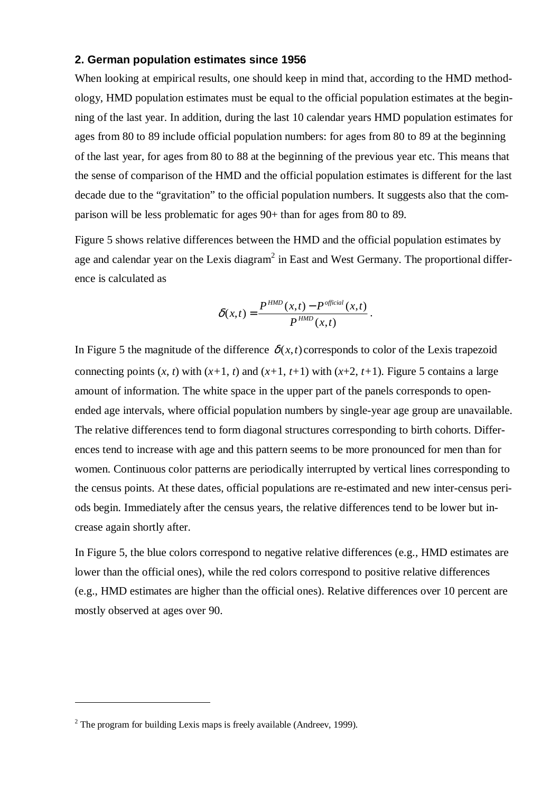# **2. German population estimates since 1956**

When looking at empirical results, one should keep in mind that, according to the HMD methodology, HMD population estimates must be equal to the official population estimates at the beginning of the last year. In addition, during the last 10 calendar years HMD population estimates for ages from 80 to 89 include official population numbers: for ages from 80 to 89 at the beginning of the last year, for ages from 80 to 88 at the beginning of the previous year etc. This means that the sense of comparison of the HMD and the official population estimates is different for the last decade due to the "gravitation" to the official population numbers. It suggests also that the comparison will be less problematic for ages 90+ than for ages from 80 to 89.

Figure 5 shows relative differences between the HMD and the official population estimates by age and calendar year on the Lexis diagram<sup>2</sup> in East and West Germany. The proportional difference is calculated as

$$
\delta(x,t) = \frac{P^{HMD}(x,t) - P^{official}(x,t)}{P^{HMD}(x,t)}.
$$

In Figure 5 the magnitude of the difference  $\delta(x,t)$  corresponds to color of the Lexis trapezoid connecting points  $(x, t)$  with  $(x+1, t)$  and  $(x+1, t+1)$  with  $(x+2, t+1)$ . Figure 5 contains a large amount of information. The white space in the upper part of the panels corresponds to openended age intervals, where official population numbers by single-year age group are unavailable. The relative differences tend to form diagonal structures corresponding to birth cohorts. Differences tend to increase with age and this pattern seems to be more pronounced for men than for women. Continuous color patterns are periodically interrupted by vertical lines corresponding to the census points. At these dates, official populations are re-estimated and new inter-census periods begin. Immediately after the census years, the relative differences tend to be lower but increase again shortly after.

In Figure 5, the blue colors correspond to negative relative differences (e.g., HMD estimates are lower than the official ones), while the red colors correspond to positive relative differences (e.g., HMD estimates are higher than the official ones). Relative differences over 10 percent are mostly observed at ages over 90.

 $\overline{a}$ 

 $2$  The program for building Lexis maps is freely available (Andreev, 1999).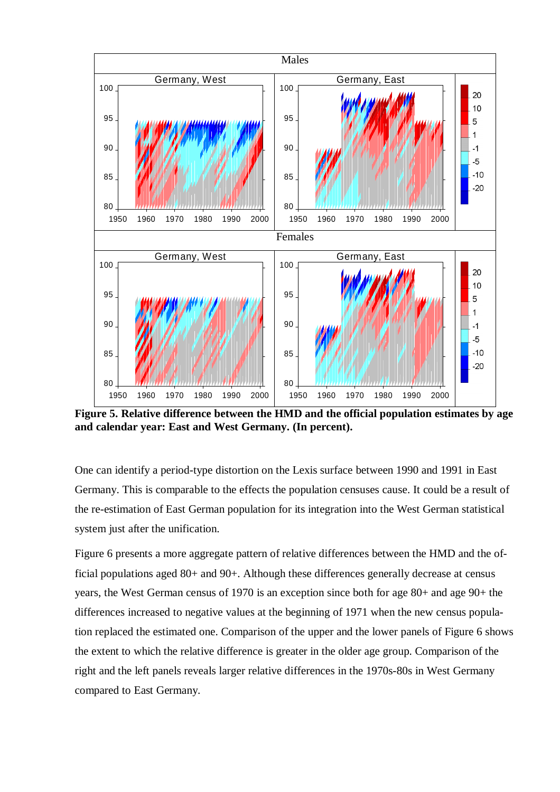

**Figure 5. Relative difference between the HMD and the official population estimates by age and calendar year: East and West Germany. (In percent).** 

One can identify a period-type distortion on the Lexis surface between 1990 and 1991 in East Germany. This is comparable to the effects the population censuses cause. It could be a result of the re-estimation of East German population for its integration into the West German statistical system just after the unification.

Figure 6 presents a more aggregate pattern of relative differences between the HMD and the official populations aged 80+ and 90+. Although these differences generally decrease at census years, the West German census of 1970 is an exception since both for age 80+ and age 90+ the differences increased to negative values at the beginning of 1971 when the new census population replaced the estimated one. Comparison of the upper and the lower panels of Figure 6 shows the extent to which the relative difference is greater in the older age group. Comparison of the right and the left panels reveals larger relative differences in the 1970s-80s in West Germany compared to East Germany.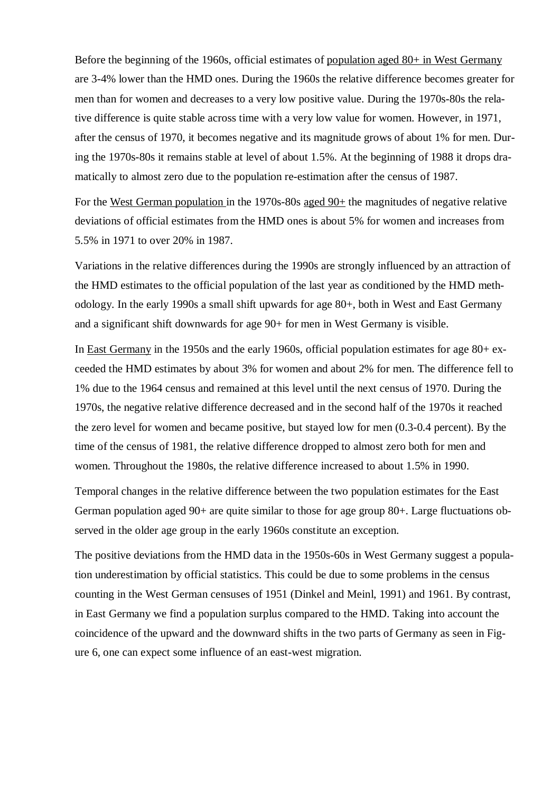Before the beginning of the 1960s, official estimates of population aged 80+ in West Germany are 3-4% lower than the HMD ones. During the 1960s the relative difference becomes greater for men than for women and decreases to a very low positive value. During the 1970s-80s the relative difference is quite stable across time with a very low value for women. However, in 1971, after the census of 1970, it becomes negative and its magnitude grows of about 1% for men. During the 1970s-80s it remains stable at level of about 1.5%. At the beginning of 1988 it drops dramatically to almost zero due to the population re-estimation after the census of 1987.

For the West German population in the 1970s-80s aged 90+ the magnitudes of negative relative deviations of official estimates from the HMD ones is about 5% for women and increases from 5.5% in 1971 to over 20% in 1987.

Variations in the relative differences during the 1990s are strongly influenced by an attraction of the HMD estimates to the official population of the last year as conditioned by the HMD methodology. In the early 1990s a small shift upwards for age 80+, both in West and East Germany and a significant shift downwards for age 90+ for men in West Germany is visible.

In East Germany in the 1950s and the early 1960s, official population estimates for age 80+ exceeded the HMD estimates by about 3% for women and about 2% for men. The difference fell to 1% due to the 1964 census and remained at this level until the next census of 1970. During the 1970s, the negative relative difference decreased and in the second half of the 1970s it reached the zero level for women and became positive, but stayed low for men (0.3-0.4 percent). By the time of the census of 1981, the relative difference dropped to almost zero both for men and women. Throughout the 1980s, the relative difference increased to about 1.5% in 1990.

Temporal changes in the relative difference between the two population estimates for the East German population aged 90+ are quite similar to those for age group 80+. Large fluctuations observed in the older age group in the early 1960s constitute an exception.

The positive deviations from the HMD data in the 1950s-60s in West Germany suggest a population underestimation by official statistics. This could be due to some problems in the census counting in the West German censuses of 1951 (Dinkel and Meinl, 1991) and 1961. By contrast, in East Germany we find a population surplus compared to the HMD. Taking into account the coincidence of the upward and the downward shifts in the two parts of Germany as seen in Figure 6, one can expect some influence of an east-west migration.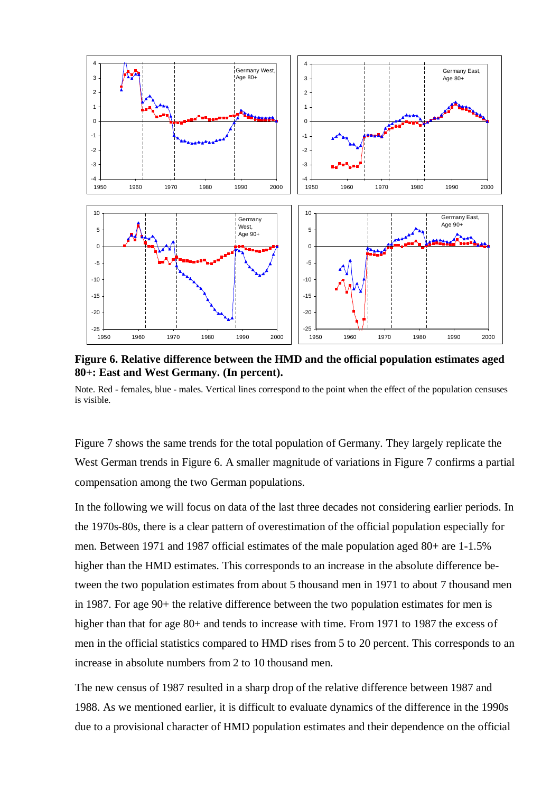

**Figure 6. Relative difference between the HMD and the official population estimates aged 80+: East and West Germany. (In percent).** 

Note. Red - females, blue - males. Vertical lines correspond to the point when the effect of the population censuses is visible.

Figure 7 shows the same trends for the total population of Germany. They largely replicate the West German trends in Figure 6. A smaller magnitude of variations in Figure 7 confirms a partial compensation among the two German populations.

In the following we will focus on data of the last three decades not considering earlier periods. In the 1970s-80s, there is a clear pattern of overestimation of the official population especially for men. Between 1971 and 1987 official estimates of the male population aged 80+ are 1-1.5% higher than the HMD estimates. This corresponds to an increase in the absolute difference between the two population estimates from about 5 thousand men in 1971 to about 7 thousand men in 1987. For age 90+ the relative difference between the two population estimates for men is higher than that for age 80+ and tends to increase with time. From 1971 to 1987 the excess of men in the official statistics compared to HMD rises from 5 to 20 percent. This corresponds to an increase in absolute numbers from 2 to 10 thousand men.

The new census of 1987 resulted in a sharp drop of the relative difference between 1987 and 1988. As we mentioned earlier, it is difficult to evaluate dynamics of the difference in the 1990s due to a provisional character of HMD population estimates and their dependence on the official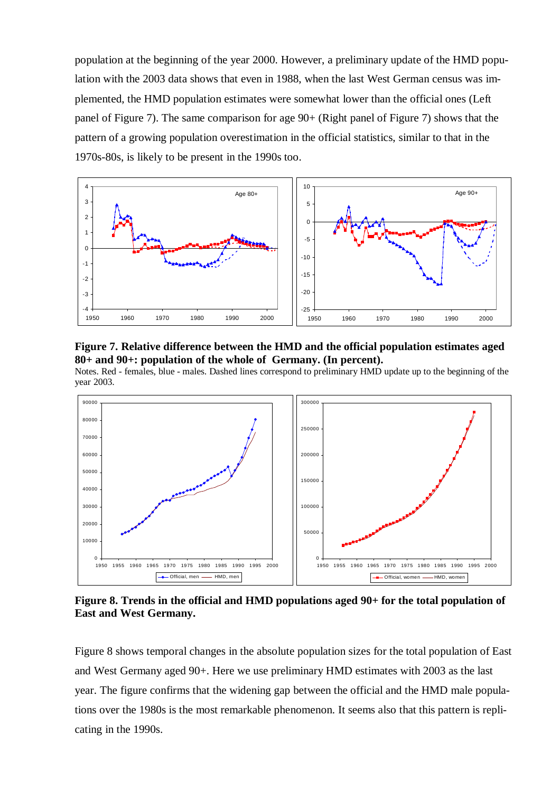population at the beginning of the year 2000. However, a preliminary update of the HMD population with the 2003 data shows that even in 1988, when the last West German census was implemented, the HMD population estimates were somewhat lower than the official ones (Left panel of Figure 7). The same comparison for age 90+ (Right panel of Figure 7) shows that the pattern of a growing population overestimation in the official statistics, similar to that in the 1970s-80s, is likely to be present in the 1990s too.





Notes. Red - females, blue - males. Dashed lines correspond to preliminary HMD update up to the beginning of the year 2003.



**Figure 8. Trends in the official and HMD populations aged 90+ for the total population of East and West Germany.** 

Figure 8 shows temporal changes in the absolute population sizes for the total population of East and West Germany aged 90+. Here we use preliminary HMD estimates with 2003 as the last year. The figure confirms that the widening gap between the official and the HMD male populations over the 1980s is the most remarkable phenomenon. It seems also that this pattern is replicating in the 1990s.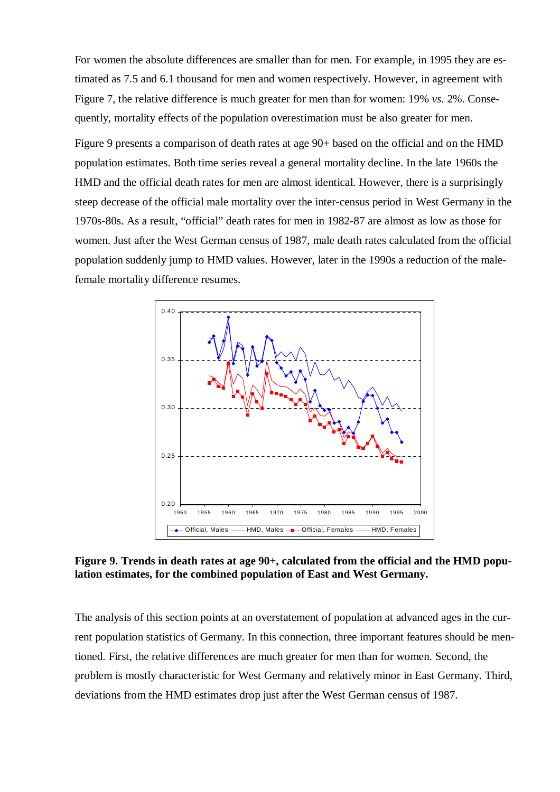For women the absolute differences are smaller than for men. For example, in 1995 they are estimated as 7.5 and 6.1 thousand for men and women respectively. However, in agreement with Figure 7, the relative difference is much greater for men than for women: 19% *vs*. 2%. Consequently, mortality effects of the population overestimation must be also greater for men.

Figure 9 presents a comparison of death rates at age 90+ based on the official and on the HMD population estimates. Both time series reveal a general mortality decline. In the late 1960s the HMD and the official death rates for men are almost identical. However, there is a surprisingly steep decrease of the official male mortality over the inter-census period in West Germany in the 1970s-80s. As a result, "official" death rates for men in 1982-87 are almost as low as those for women. Just after the West German census of 1987, male death rates calculated from the official population suddenly jump to HMD values. However, later in the 1990s a reduction of the malefemale mortality difference resumes.



Figure 9. Trends in death rates at age 90+, calculated from the official and the HMD popu**lation estimates, for the combined population of East and West Germany.** 

The analysis of this section points at an overstatement of population at advanced ages in the current population statistics of Germany. In this connection, three important features should be mentioned. First, the relative differences are much greater for men than for women. Second, the problem is mostly characteristic for West Germany and relatively minor in East Germany. Third, deviations from the HMD estimates drop just after the West German census of 1987.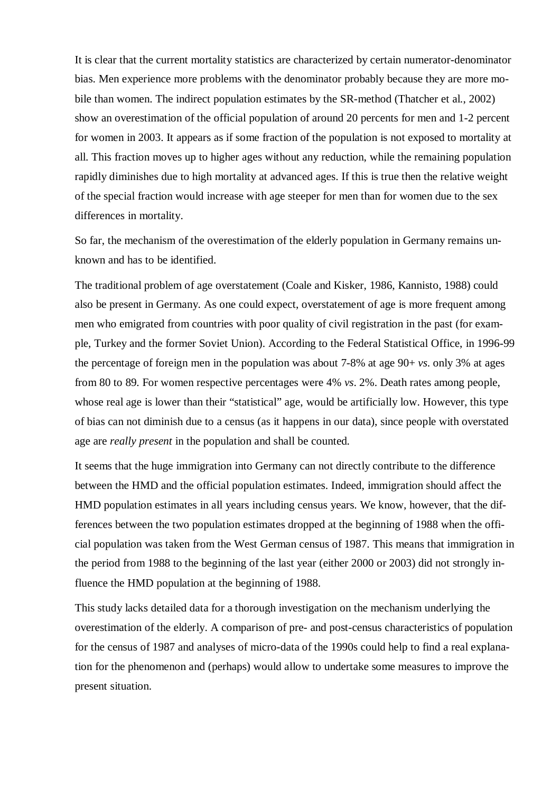It is clear that the current mortality statistics are characterized by certain numerator-denominator bias. Men experience more problems with the denominator probably because they are more mobile than women. The indirect population estimates by the SR-method (Thatcher et al., 2002) show an overestimation of the official population of around 20 percents for men and 1-2 percent for women in 2003. It appears as if some fraction of the population is not exposed to mortality at all. This fraction moves up to higher ages without any reduction, while the remaining population rapidly diminishes due to high mortality at advanced ages. If this is true then the relative weight of the special fraction would increase with age steeper for men than for women due to the sex differences in mortality.

So far, the mechanism of the overestimation of the elderly population in Germany remains unknown and has to be identified.

The traditional problem of age overstatement (Coale and Kisker, 1986, Kannisto, 1988) could also be present in Germany. As one could expect, overstatement of age is more frequent among men who emigrated from countries with poor quality of civil registration in the past (for example, Turkey and the former Soviet Union). According to the Federal Statistical Office, in 1996-99 the percentage of foreign men in the population was about 7-8% at age 90+ *vs*. only 3% at ages from 80 to 89. For women respective percentages were 4% *vs*. 2%. Death rates among people, whose real age is lower than their "statistical" age, would be artificially low. However, this type of bias can not diminish due to a census (as it happens in our data), since people with overstated age are *really present* in the population and shall be counted.

It seems that the huge immigration into Germany can not directly contribute to the difference between the HMD and the official population estimates. Indeed, immigration should affect the HMD population estimates in all years including census years. We know, however, that the differences between the two population estimates dropped at the beginning of 1988 when the official population was taken from the West German census of 1987. This means that immigration in the period from 1988 to the beginning of the last year (either 2000 or 2003) did not strongly influence the HMD population at the beginning of 1988.

This study lacks detailed data for a thorough investigation on the mechanism underlying the overestimation of the elderly. A comparison of pre- and post-census characteristics of population for the census of 1987 and analyses of micro-data of the 1990s could help to find a real explanation for the phenomenon and (perhaps) would allow to undertake some measures to improve the present situation.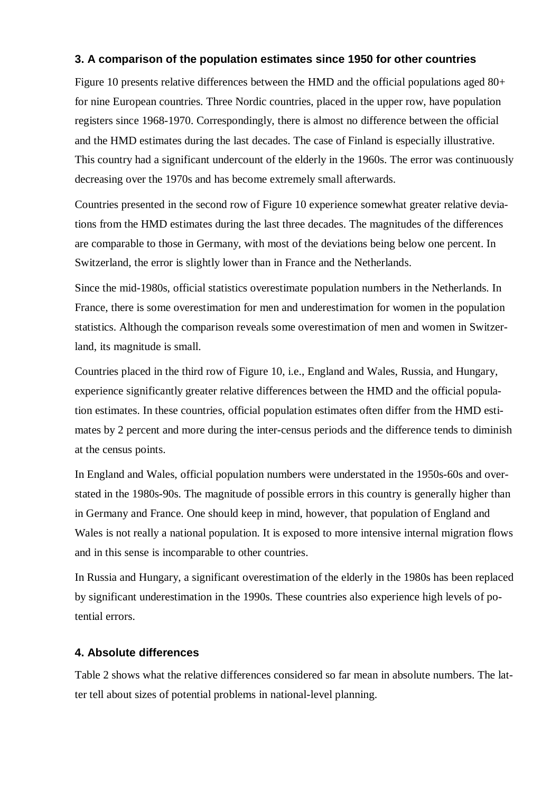# **3. A comparison of the population estimates since 1950 for other countries**

Figure 10 presents relative differences between the HMD and the official populations aged 80+ for nine European countries. Three Nordic countries, placed in the upper row, have population registers since 1968-1970. Correspondingly, there is almost no difference between the official and the HMD estimates during the last decades. The case of Finland is especially illustrative. This country had a significant undercount of the elderly in the 1960s. The error was continuously decreasing over the 1970s and has become extremely small afterwards.

Countries presented in the second row of Figure 10 experience somewhat greater relative deviations from the HMD estimates during the last three decades. The magnitudes of the differences are comparable to those in Germany, with most of the deviations being below one percent. In Switzerland, the error is slightly lower than in France and the Netherlands.

Since the mid-1980s, official statistics overestimate population numbers in the Netherlands. In France, there is some overestimation for men and underestimation for women in the population statistics. Although the comparison reveals some overestimation of men and women in Switzerland, its magnitude is small.

Countries placed in the third row of Figure 10, i.e., England and Wales, Russia, and Hungary, experience significantly greater relative differences between the HMD and the official population estimates. In these countries, official population estimates often differ from the HMD estimates by 2 percent and more during the inter-census periods and the difference tends to diminish at the census points.

In England and Wales, official population numbers were understated in the 1950s-60s and overstated in the 1980s-90s. The magnitude of possible errors in this country is generally higher than in Germany and France. One should keep in mind, however, that population of England and Wales is not really a national population. It is exposed to more intensive internal migration flows and in this sense is incomparable to other countries.

In Russia and Hungary, a significant overestimation of the elderly in the 1980s has been replaced by significant underestimation in the 1990s. These countries also experience high levels of potential errors.

## **4. Absolute differences**

Table 2 shows what the relative differences considered so far mean in absolute numbers. The latter tell about sizes of potential problems in national-level planning.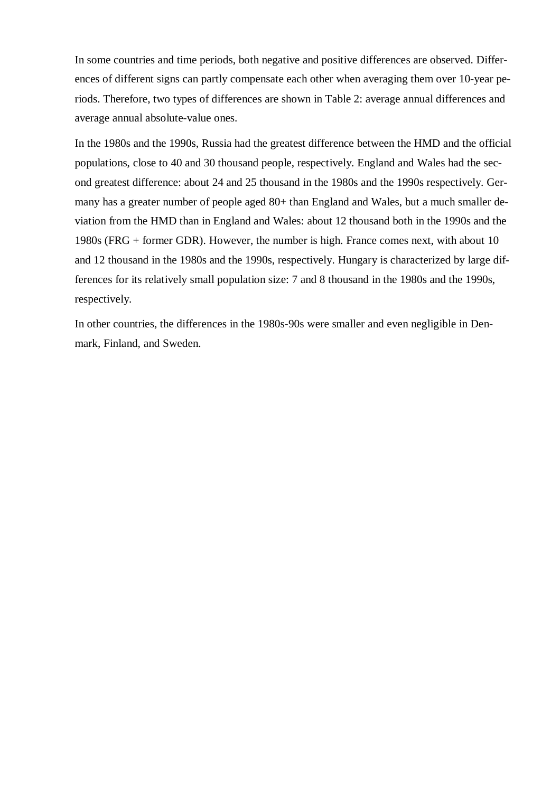In some countries and time periods, both negative and positive differences are observed. Differences of different signs can partly compensate each other when averaging them over 10-year periods. Therefore, two types of differences are shown in Table 2: average annual differences and average annual absolute-value ones.

In the 1980s and the 1990s, Russia had the greatest difference between the HMD and the official populations, close to 40 and 30 thousand people, respectively. England and Wales had the second greatest difference: about 24 and 25 thousand in the 1980s and the 1990s respectively. Germany has a greater number of people aged 80+ than England and Wales, but a much smaller deviation from the HMD than in England and Wales: about 12 thousand both in the 1990s and the 1980s (FRG + former GDR). However, the number is high. France comes next, with about 10 and 12 thousand in the 1980s and the 1990s, respectively. Hungary is characterized by large differences for its relatively small population size: 7 and 8 thousand in the 1980s and the 1990s, respectively.

In other countries, the differences in the 1980s-90s were smaller and even negligible in Denmark, Finland, and Sweden.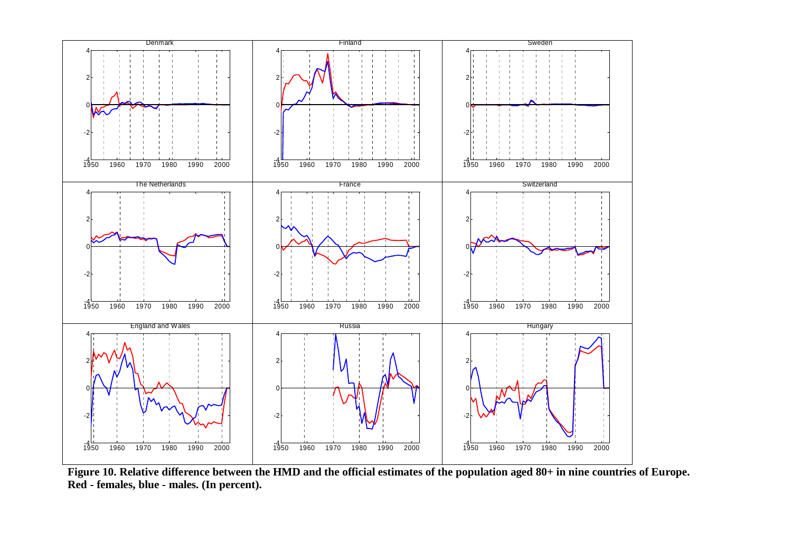

**Figure 10. Relative difference between the HMD and the official estimates of the population aged 80+ in nine countries of Europe. Red - females, blue - males. (In percent).**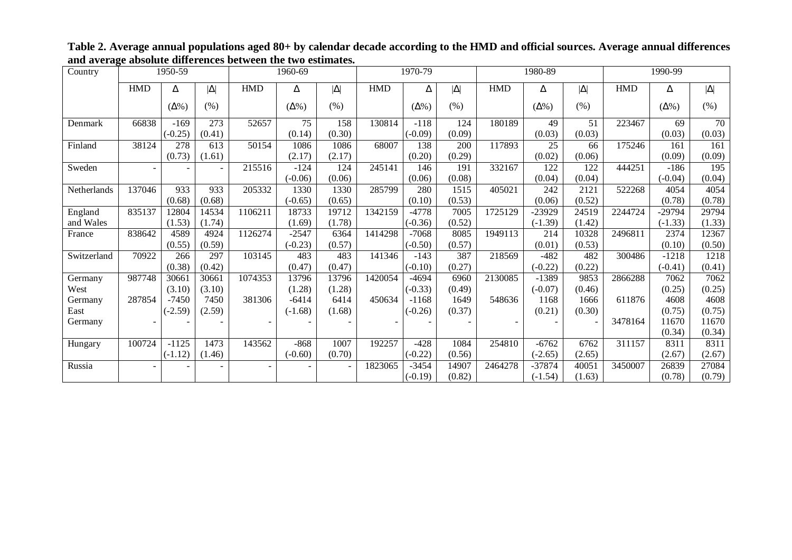| Country     |            | 1950-59      |                  |                          | 1960-69         |                |            | 1970-79      |                   |            | 1980-89          |                 |            | 1990-99      |                  |
|-------------|------------|--------------|------------------|--------------------------|-----------------|----------------|------------|--------------|-------------------|------------|------------------|-----------------|------------|--------------|------------------|
|             | <b>HMD</b> | Δ            | $ \Delta $       | <b>HMD</b>               | Δ               | $ \Delta $     | <b>HMD</b> | Δ            | $ \Delta $        | <b>HMD</b> | Δ                | $ \Delta $      | <b>HMD</b> | Δ            | $ \Delta $       |
|             |            | $(\Delta\%)$ | (% )             |                          | $(\Delta\%)$    | (% )           |            | $(\Delta\%)$ | (% )              |            | $(\Delta\%)$     | $(\% )$         |            | $(\Delta\%)$ | $(\% )$          |
| Denmark     | 66838      | $-169$       | $\overline{273}$ | 52657                    | $\overline{75}$ | 158            | 130814     | $-118$       | 124               | 180189     | 49               | $\overline{51}$ | 223467     | 69           | $\overline{70}$  |
|             |            | $(-0.25)$    | (0.41)           |                          | (0.14)          | (0.30)         |            | $(-0.09)$    | (0.09)            |            | (0.03)           | (0.03)          |            | (0.03)       | (0.03)           |
| Finland     | 38124      | 278          | 613              | 50154                    | 1086            | 1086           | 68007      | 138          | 200               | 117893     | $\overline{25}$  | 66              | 175246     | 161          | 161              |
|             |            | (0.73)       | (1.61)           |                          | (2.17)          | (2.17)         |            | (0.20)       | (0.29)            |            | (0.02)           | (0.06)          |            | (0.09)       | (0.09)           |
| Sweden      | $\sim$     |              |                  | 215516                   | $-124$          | 124            | 245141     | 146          | 191               | 332167     | $\overline{122}$ | 122             | 444251     | $-186$       | $\overline{195}$ |
|             |            |              |                  |                          | $(-0.06)$       | (0.06)         |            | (0.06)       | (0.08)            |            | (0.04)           | (0.04)          |            | $(-0.04)$    | (0.04)           |
| Netherlands | 137046     | 933          | 933              | 205332                   | 1330            | 1330           | 285799     | 280          | 1515              | 405021     | 242              | 2121            | 522268     | 4054         | 4054             |
|             |            | (0.68)       | (0.68)           |                          | $(-0.65)$       | (0.65)         |            | (0.10)       | (0.53)            |            | (0.06)           | (0.52)          |            | (0.78)       | (0.78)           |
| England     | 835137     | 12804        | 14534            | 1106211                  | 18733           | 19712          | 1342159    | $-4778$      | 7005              | 1725129    | $-23929$         | 24519           | 2244724    | $-29794$     | 29794            |
| and Wales   |            | (1.53)       | (1.74)           |                          | (1.69)          | (1.78)         |            | $(-0.36)$    | (0.52)            |            | $(-1.39)$        | (1.42)          |            | $(-1.33)$    | (1.33)           |
| France      | 838642     | 4589         | 4924             | 1126274                  | $-2547$         | 6364           | 1414298    | $-7068$      | $\overline{80}85$ | 1949113    | $\sqrt{214}$     | 10328           | 2496811    | 2374         | 12367            |
|             |            | (0.55)       | (0.59)           |                          | $(-0.23)$       | (0.57)         |            | $(-0.50)$    | (0.57)            |            | (0.01)           | (0.53)          |            | (0.10)       | (0.50)           |
| Switzerland | 70922      | 266          | 297              | 103145                   | 483             | 483            | 141346     | $-143$       | 387               | 218569     | $-482$           | 482             | 300486     | $-1218$      | 1218             |
|             |            | (0.38)       | (0.42)           |                          | (0.47)          | (0.47)         |            | $(-0.10)$    | (0.27)            |            | $(-0.22)$        | (0.22)          |            | $(-0.41)$    | (0.41)           |
| Germany     | 987748     | 30661        | 30661            | 1074353                  | 13796           | 13796          | 1420054    | $-4694$      | 6960              | 2130085    | $-1389$          | 9853            | 2866288    | 7062         | 7062             |
| West        |            | (3.10)       | (3.10)           |                          | (1.28)          | (1.28)         |            | $(-0.33)$    | (0.49)            |            | $(-0.07)$        | (0.46)          |            | (0.25)       | (0.25)           |
| Germany     | 287854     | $-7450$      | 7450             | 381306                   | $-6414$         | 6414           | 450634     | $-1168$      | 1649              | 548636     | 1168             | 1666            | 611876     | 4608         | 4608             |
| East        |            | $(-2.59)$    | (2.59)           |                          | $(-1.68)$       | (1.68)         |            | $(-0.26)$    | (0.37)            |            | (0.21)           | (0.30)          |            | (0.75)       | (0.75)           |
| Germany     |            |              |                  | $\overline{\phantom{a}}$ |                 |                |            |              |                   |            |                  |                 | 3478164    | 11670        | 11670            |
|             |            |              |                  |                          |                 |                |            |              |                   |            |                  |                 |            | (0.34)       | (0.34)           |
| Hungary     | 100724     | $-1125$      | 1473             | 143562                   | $-868$          | 1007           | 192257     | $-428$       | 1084              | 254810     | $-6762$          | 6762            | 311157     | 8311         | 8311             |
|             |            | $(-1.12)$    | (1.46)           |                          | $(-0.60)$       | (0.70)         |            | $(-0.22)$    | (0.56)            |            | $(-2.65)$        | (2.65)          |            | (2.67)       | (2.67)           |
| Russia      | $\sim$     |              |                  |                          |                 | $\blacksquare$ | 1823065    | $-3454$      | 14907             | 2464278    | -37874           | 40051           | 3450007    | 26839        | 27084            |
|             |            |              |                  |                          |                 |                |            | $(-0.19)$    | (0.82)            |            | $(-1.54)$        | (1.63)          |            | (0.78)       | (0.79)           |

**Table 2. Average annual populations aged 80+ by calendar decade according to the HMD and official sources. Average annual differences and average absolute differences between the two estimates.**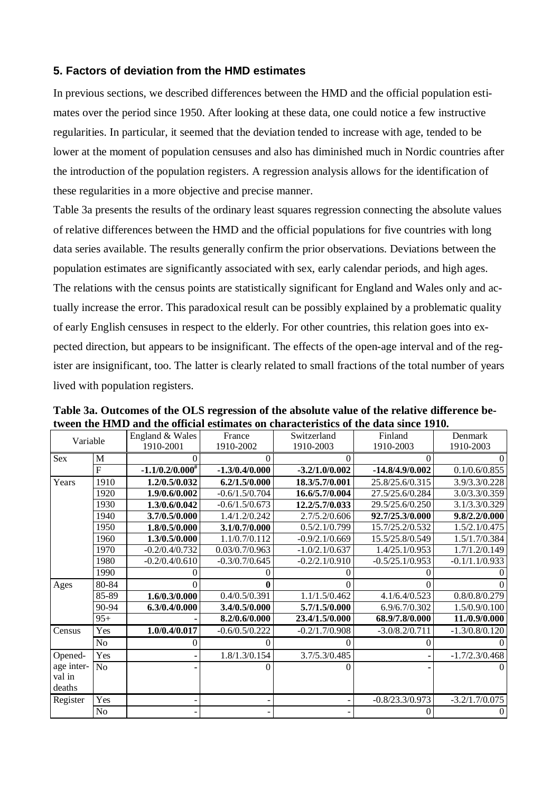# **5. Factors of deviation from the HMD estimates**

In previous sections, we described differences between the HMD and the official population estimates over the period since 1950. After looking at these data, one could notice a few instructive regularities. In particular, it seemed that the deviation tended to increase with age, tended to be lower at the moment of population censuses and also has diminished much in Nordic countries after the introduction of the population registers. A regression analysis allows for the identification of these regularities in a more objective and precise manner.

Table 3a presents the results of the ordinary least squares regression connecting the absolute values of relative differences between the HMD and the official populations for five countries with long data series available. The results generally confirm the prior observations. Deviations between the population estimates are significantly associated with sex, early calendar periods, and high ages. The relations with the census points are statistically significant for England and Wales only and actually increase the error. This paradoxical result can be possibly explained by a problematic quality of early English censuses in respect to the elderly. For other countries, this relation goes into expected direction, but appears to be insignificant. The effects of the open-age interval and of the register are insignificant, too. The latter is clearly related to small fractions of the total number of years lived with population registers.

| Variable   |                         | England & Wales      | France            | Switzerland      | Finland           | Denmark          |
|------------|-------------------------|----------------------|-------------------|------------------|-------------------|------------------|
|            |                         | 1910-2001            | 1910-2002         | 1910-2003        | 1910-2003         | 1910-2003        |
| Sex        | $\mathbf M$             |                      | $\mathbf{\Omega}$ | 0                | 0                 |                  |
|            | $\overline{\mathrm{F}}$ | $-1.1/0.2/0.000^{#}$ | $-1.3/0.4/0.000$  | $-3.2/1.0/0.002$ | $-14.8/4.9/0.002$ | 0.1/0.6/0.855    |
| Years      | 1910                    | 1.2/0.5/0.032        | 6.2/1.5/0.000     | 18.3/5.7/0.001   | 25.8/25.6/0.315   | 3.9/3.3/0.228    |
|            | 1920                    | 1.9/0.6/0.002        | $-0.6/1.5/0.704$  | 16.6/5.7/0.004   | 27.5/25.6/0.284   | 3.0/3.3/0.359    |
|            | 1930                    | 1.3/0.6/0.042        | $-0.6/1.5/0.673$  | 12.2/5.7/0.033   | 29.5/25.6/0.250   | 3.1/3.3/0.329    |
|            | 1940                    | 3.7/0.5/0.000        | 1.4/1.2/0.242     | 2.7/5.2/0.606    | 92.7/25.3/0.000   | 9.8/2.2/0.000    |
|            | 1950                    | 1.8/0.5/0.000        | 3.1/0.7/0.000     | 0.5/2.1/0.799    | 15.7/25.2/0.532   | 1.5/2.1/0.475    |
|            | 1960                    | 1.3/0.5/0.000        | 1.1/0.7/0.112     | $-0.9/2.1/0.669$ | 15.5/25.8/0.549   | 1.5/1.7/0.384    |
|            | 1970                    | $-0.2/0.4/0.732$     | 0.03/0.7/0.963    | $-1.0/2.1/0.637$ | 1.4/25.1/0.953    | 1.7/1.2/0.149    |
|            | 1980                    | $-0.2/0.4/0.610$     | $-0.3/0.7/0.645$  | $-0.2/2.1/0.910$ | $-0.5/25.1/0.953$ | $-0.1/1.1/0.933$ |
|            | 1990                    |                      |                   | $\theta$         |                   |                  |
| Ages       | 80-84                   |                      |                   | 0                |                   |                  |
|            | 85-89                   | 1.6/0.3/0.000        | 0.4/0.5/0.391     | 1.1/1.5/0.462    | 4.1/6.4/0.523     | 0.8/0.8/0.279    |
|            | 90-94                   | 6.3/0.4/0.000        | 3.4/0.5/0.000     | 5.7/1.5/0.000    | 6.9/6.7/0.302     | 1.5/0.9/0.100    |
|            | $95+$                   |                      | 8.2/0.6/0.000     | 23.4/1.5/0.000   | 68.9/7.8/0.000    | 11./0.9/0.000    |
| Census     | Yes                     | 1.0/0.4/0.017        | $-0.6/0.5/0.222$  | $-0.2/1.7/0.908$ | $-3.0/8.2/0.711$  | $-1.3/0.8/0.120$ |
|            | N <sub>o</sub>          | 0                    | 0                 | $\theta$         | 0                 |                  |
| Opened-    | Yes                     |                      | 1.8/1.3/0.154     | 3.7/5.3/0.485    |                   | $-1.7/2.3/0.468$ |
| age inter- | No                      |                      |                   | $\theta$         |                   |                  |
| val in     |                         |                      |                   |                  |                   |                  |
| deaths     |                         |                      |                   |                  |                   |                  |
| Register   | Yes                     |                      |                   |                  | $-0.8/23.3/0.973$ | $-3.2/1.7/0.075$ |
|            | No                      |                      |                   |                  | $\overline{0}$    | $\overline{0}$   |

**Table 3a. Outcomes of the OLS regression of the absolute value of the relative difference between the HMD and the official estimates on characteristics of the data since 1910.**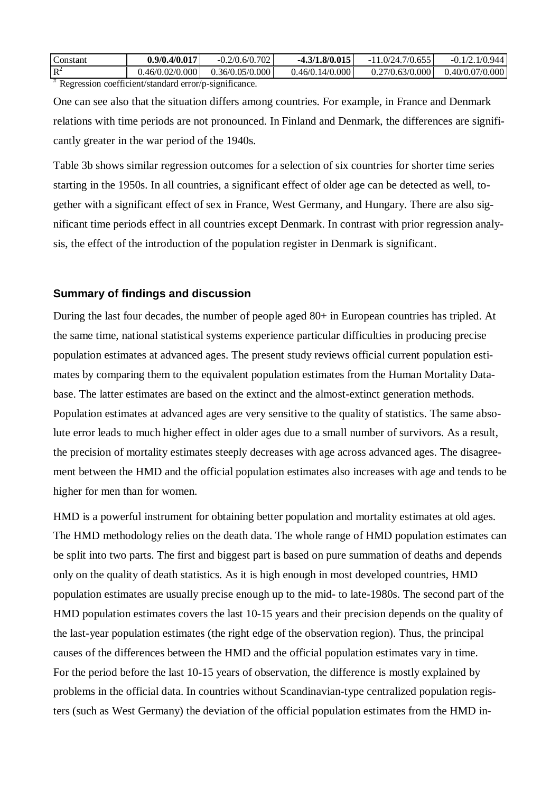| Constant | 0.9/0.4/0.017   | 702<br>$-0.2/0.6/0.$ | $-4.3/1.8/0.015$ | .7/0.655<br>(1)'/2<br>- 1 | 944<br>$\sqrt{0}$<br>$-0.1$ |
|----------|-----------------|----------------------|------------------|---------------------------|-----------------------------|
| $R^2$    | 0.46/0.02/0.000 | 0.36/0.05/0.000      | 0.46/0.14/0.000  | 0.27/0.63/0.000           | 0.40/0.07/0.000             |

<sup>#</sup> Regression coefficient/standard error/p-significance.

One can see also that the situation differs among countries. For example, in France and Denmark relations with time periods are not pronounced. In Finland and Denmark, the differences are significantly greater in the war period of the 1940s.

Table 3b shows similar regression outcomes for a selection of six countries for shorter time series starting in the 1950s. In all countries, a significant effect of older age can be detected as well, together with a significant effect of sex in France, West Germany, and Hungary. There are also significant time periods effect in all countries except Denmark. In contrast with prior regression analysis, the effect of the introduction of the population register in Denmark is significant.

## **Summary of findings and discussion**

During the last four decades, the number of people aged 80+ in European countries has tripled. At the same time, national statistical systems experience particular difficulties in producing precise population estimates at advanced ages. The present study reviews official current population estimates by comparing them to the equivalent population estimates from the Human Mortality Database. The latter estimates are based on the extinct and the almost-extinct generation methods. Population estimates at advanced ages are very sensitive to the quality of statistics. The same absolute error leads to much higher effect in older ages due to a small number of survivors. As a result, the precision of mortality estimates steeply decreases with age across advanced ages. The disagreement between the HMD and the official population estimates also increases with age and tends to be higher for men than for women.

HMD is a powerful instrument for obtaining better population and mortality estimates at old ages. The HMD methodology relies on the death data. The whole range of HMD population estimates can be split into two parts. The first and biggest part is based on pure summation of deaths and depends only on the quality of death statistics. As it is high enough in most developed countries, HMD population estimates are usually precise enough up to the mid- to late-1980s. The second part of the HMD population estimates covers the last 10-15 years and their precision depends on the quality of the last-year population estimates (the right edge of the observation region). Thus, the principal causes of the differences between the HMD and the official population estimates vary in time. For the period before the last 10-15 years of observation, the difference is mostly explained by problems in the official data. In countries without Scandinavian-type centralized population registers (such as West Germany) the deviation of the official population estimates from the HMD in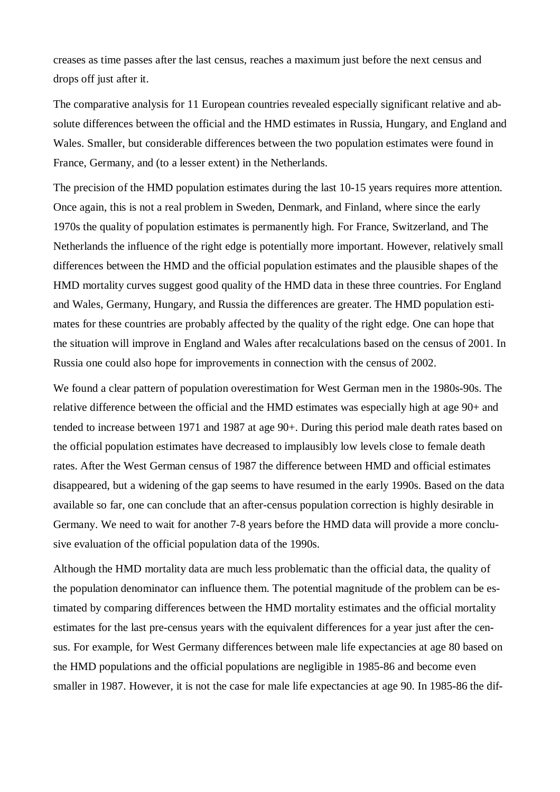creases as time passes after the last census, reaches a maximum just before the next census and drops off just after it.

The comparative analysis for 11 European countries revealed especially significant relative and absolute differences between the official and the HMD estimates in Russia, Hungary, and England and Wales. Smaller, but considerable differences between the two population estimates were found in France, Germany, and (to a lesser extent) in the Netherlands.

The precision of the HMD population estimates during the last 10-15 years requires more attention. Once again, this is not a real problem in Sweden, Denmark, and Finland, where since the early 1970s the quality of population estimates is permanently high. For France, Switzerland, and The Netherlands the influence of the right edge is potentially more important. However, relatively small differences between the HMD and the official population estimates and the plausible shapes of the HMD mortality curves suggest good quality of the HMD data in these three countries. For England and Wales, Germany, Hungary, and Russia the differences are greater. The HMD population estimates for these countries are probably affected by the quality of the right edge. One can hope that the situation will improve in England and Wales after recalculations based on the census of 2001. In Russia one could also hope for improvements in connection with the census of 2002.

We found a clear pattern of population overestimation for West German men in the 1980s-90s. The relative difference between the official and the HMD estimates was especially high at age 90+ and tended to increase between 1971 and 1987 at age 90+. During this period male death rates based on the official population estimates have decreased to implausibly low levels close to female death rates. After the West German census of 1987 the difference between HMD and official estimates disappeared, but a widening of the gap seems to have resumed in the early 1990s. Based on the data available so far, one can conclude that an after-census population correction is highly desirable in Germany. We need to wait for another 7-8 years before the HMD data will provide a more conclusive evaluation of the official population data of the 1990s.

Although the HMD mortality data are much less problematic than the official data, the quality of the population denominator can influence them. The potential magnitude of the problem can be estimated by comparing differences between the HMD mortality estimates and the official mortality estimates for the last pre-census years with the equivalent differences for a year just after the census. For example, for West Germany differences between male life expectancies at age 80 based on the HMD populations and the official populations are negligible in 1985-86 and become even smaller in 1987. However, it is not the case for male life expectancies at age 90. In 1985-86 the dif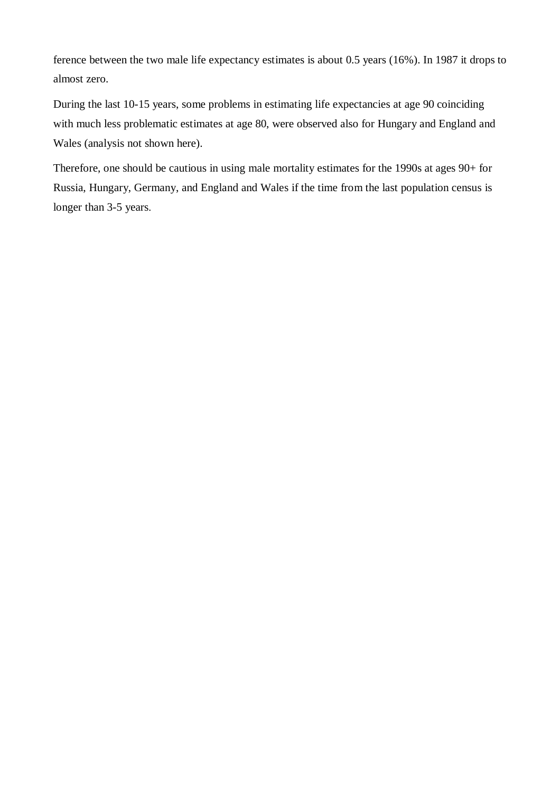ference between the two male life expectancy estimates is about 0.5 years (16%). In 1987 it drops to almost zero.

During the last 10-15 years, some problems in estimating life expectancies at age 90 coinciding with much less problematic estimates at age 80, were observed also for Hungary and England and Wales (analysis not shown here).

Therefore, one should be cautious in using male mortality estimates for the 1990s at ages 90+ for Russia, Hungary, Germany, and England and Wales if the time from the last population census is longer than 3-5 years.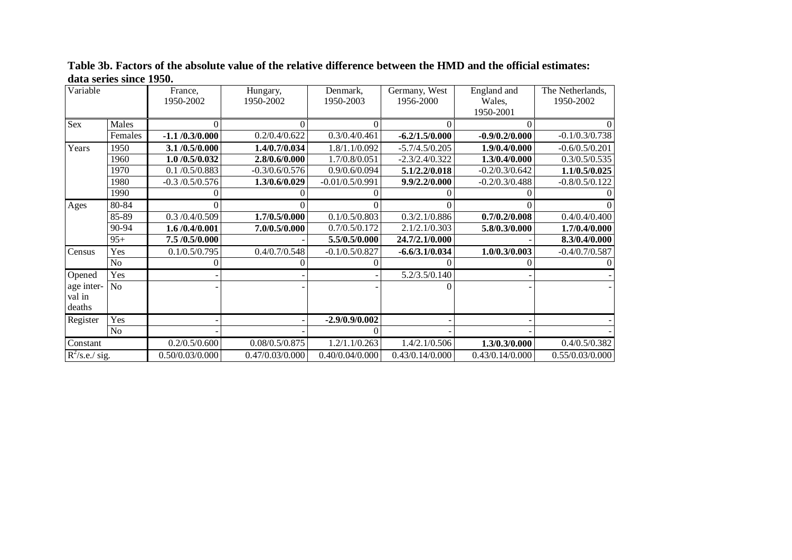**Table 3b. Factors of the absolute value of the relative difference between the HMD and the official estimates: data series since 1950.** 

| Variable          |                | France,<br>1950-2002 | Hungary,<br>1950-2002 | Denmark,<br>1950-2003 | Germany, West<br>1956-2000 | England and<br>Wales,<br>1950-2001 | The Netherlands,<br>1950-2002 |
|-------------------|----------------|----------------------|-----------------------|-----------------------|----------------------------|------------------------------------|-------------------------------|
| Sex               | Males          | 0                    | $\theta$              | 0                     |                            |                                    |                               |
|                   | Females        | $-1.1/0.3/0.000$     | 0.2/0.4/0.622         | 0.3/0.4/0.461         | $-6.2/1.5/0.000$           | $-0.9/0.2/0.000$                   | $-0.1/0.3/0.738$              |
| Years             | 1950           | 3.1 /0.5/0.000       | 1.4/0.7/0.034         | 1.8/1.1/0.092         | $-5.7/4.5/0.205$           | 1.9/0.4/0.000                      | $-0.6/0.5/0.201$              |
|                   | 1960           | 1.0/0.5/0.032        | 2.8/0.6/0.000         | 1.7/0.8/0.051         | $-2.3/2.4/0.322$           | 1.3/0.4/0.000                      | 0.3/0.5/0.535                 |
|                   | 1970           | 0.1 / 0.5 / 0.883    | $-0.3/0.6/0.576$      | 0.9/0.6/0.094         | 5.1/2.2/0.018              | $-0.2/0.3/0.642$                   | 1.1/0.5/0.025                 |
|                   | 1980           | $-0.3 / 0.5 / 0.576$ | 1.3/0.6/0.029         | $-0.01/0.5/0.991$     | 9.9/2.2/0.000              | $-0.2/0.3/0.488$                   | $-0.8/0.5/0.122$              |
|                   | 1990           |                      |                       |                       |                            |                                    |                               |
| Ages              | 80-84          |                      |                       |                       |                            |                                    |                               |
|                   | 85-89          | 0.3 / 0.4 / 0.509    | 1.7/0.5/0.000         | 0.1/0.5/0.803         | 0.3/2.1/0.886              | 0.7/0.2/0.008                      | 0.4/0.4/0.400                 |
|                   | $90 - 94$      | 1.6/0.4/0.001        | 7.0/0.5/0.000         | 0.7/0.5/0.172         | 2.1/2.1/0.303              | 5.8/0.3/0.000                      | 1.7/0.4/0.000                 |
|                   | $95+$          | 7.5 /0.5/0.000       |                       | 5.5/0.5/0.000         | 24.7/2.1/0.000             |                                    | 8.3/0.4/0.000                 |
| Census            | Yes            | 0.1/0.5/0.795        | 0.4/0.7/0.548         | $-0.1/0.5/0.827$      | $-6.6/3.1/0.034$           | 1.0/0.3/0.003                      | $-0.4/0.7/0.587$              |
|                   | N <sub>o</sub> |                      |                       |                       |                            |                                    |                               |
| Opened            | Yes            |                      |                       |                       | 5.2/3.5/0.140              |                                    |                               |
| age inter-        | N <sub>o</sub> |                      |                       |                       |                            |                                    |                               |
| val in            |                |                      |                       |                       |                            |                                    |                               |
| deaths            |                |                      |                       |                       |                            |                                    |                               |
| Register          | Yes            |                      |                       | $-2.9/0.9/0.002$      |                            |                                    |                               |
|                   | <b>No</b>      |                      |                       |                       |                            |                                    |                               |
| Constant          |                | 0.2/0.5/0.600        | 0.08/0.5/0.875        | 1.2/1.1/0.263         | 1.4/2.1/0.506              | 1.3/0.3/0.000                      | 0.4/0.5/0.382                 |
| $R^2$ /s.e./ sig. |                | 0.50/0.03/0.000      | 0.47/0.03/0.000       | 0.40/0.04/0.000       | 0.43/0.14/0.000            | 0.43/0.14/0.000                    | 0.55/0.03/0.000               |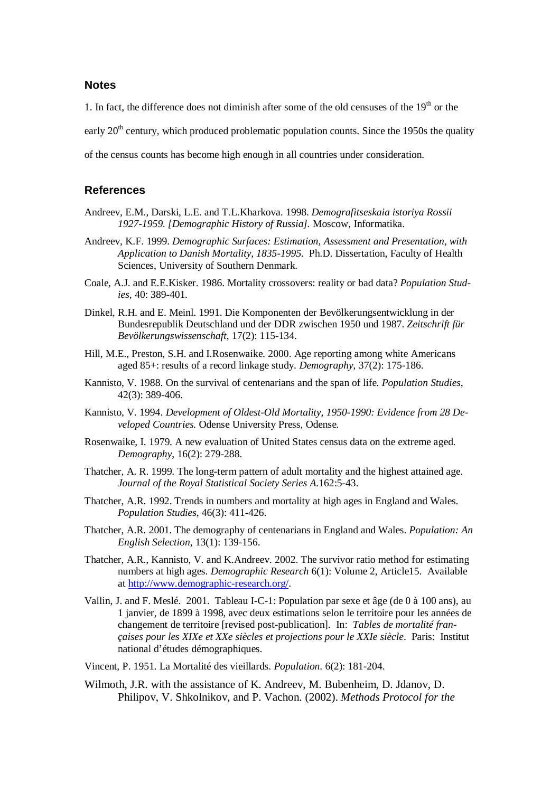#### **Notes**

1. In fact, the difference does not diminish after some of the old censuses of the  $19<sup>th</sup>$  or the

early  $20<sup>th</sup>$  century, which produced problematic population counts. Since the 1950s the quality

of the census counts has become high enough in all countries under consideration.

#### **References**

- Andreev, E.M., Darski, L.E. and T.L.Kharkova. 1998. *Demografitseskaia istoriya Rossii 1927-1959. [Demographic History of Russia].* Moscow, Informatika.
- Andreev, K.F. 1999. *Demographic Surfaces: Estimation, Assessment and Presentation, with Application to Danish Mortality, 1835-1995*. Ph.D. Dissertation, Faculty of Health Sciences, University of Southern Denmark.
- Coale, A.J. and E.E.Kisker. 1986. Mortality crossovers: reality or bad data? *Population Studies*, 40: 389-401.
- Dinkel, R.H. and E. Meinl. 1991. Die Komponenten der Bevölkerungsentwicklung in der Bundesrepublik Deutschland und der DDR zwischen 1950 und 1987. *Zeitschrift für Bevölkerungswissenschaft*, 17(2): 115-134.
- Hill, M.E., Preston, S.H. and I.Rosenwaike. 2000. Age reporting among white Americans aged 85+: results of a record linkage study. *Demography*, 37(2): 175-186.
- Kannisto, V. 1988. On the survival of centenarians and the span of life. *Population Studies*, 42(3): 389-406.
- Kannisto, V. 1994. *Development of Oldest-Old Mortality, 1950-1990: Evidence from 28 Developed Countries.* Odense University Press, Odense.
- Rosenwaike, I. 1979. A new evaluation of United States census data on the extreme aged. *Demography*, 16(2): 279-288.
- Thatcher, A. R. 1999. The long-term pattern of adult mortality and the highest attained age. *Journal of the Royal Statistical Society Series A*.162:5-43.
- Thatcher, A.R. 1992. Trends in numbers and mortality at high ages in England and Wales. *Population Studies*, 46(3): 411-426.
- Thatcher, A.R. 2001. The demography of centenarians in England and Wales. *Population: An English Selection*, 13(1): 139-156.
- Thatcher, A.R., Kannisto, V. and K.Andreev. 2002. The survivor ratio method for estimating numbers at high ages. *Demographic Research* 6(1): Volume 2, Article15. Available at http://www.demographic-research.org/.
- Vallin, J. and F. Meslé. 2001. Tableau I-C-1: Population par sexe et âge (de 0 à 100 ans), au 1 janvier, de 1899 à 1998, avec deux estimations selon le territoire pour les années de changement de territoire [revised post-publication]. In: *Tables de mortalité françaises pour les XIXe et XXe siècles et projections pour le XXIe siècle*. Paris: Institut national d'études démographiques.
- Vincent, P. 1951. La Mortalité des vieillards. *Population*. 6(2): 181-204.
- Wilmoth, J.R. with the assistance of K. Andreev, M. Bubenheim, D. Jdanov, D. Philipov, V. Shkolnikov, and P. Vachon. (2002). *Methods Protocol for the*